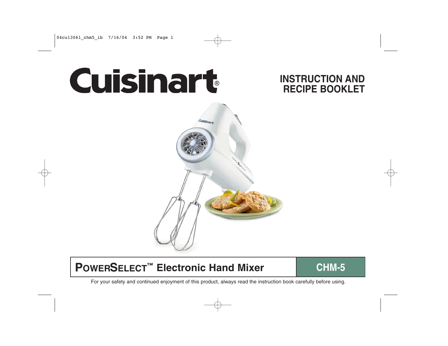# **Cuisinart**

## **INSTRUCTION AND RECIPE BOOKLET**



# **POWERSELECT™ Electronic Hand Mixer ■ CHM-5**

For your safety and continued enjoyment of this product, always read the instruction book carefully before using.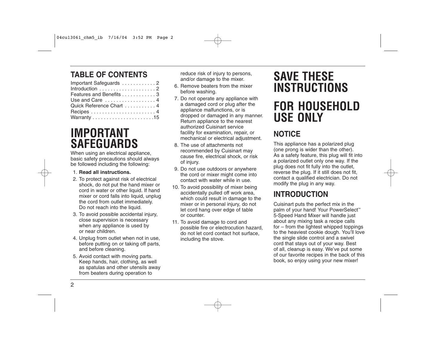## **TABLE OF CONTENTS**

## **IMPORTANT SAFEGUARDS**

When using an electrical appliance, basic safety precautions should always be followed including the following:

#### 1. **Read all instructions.**

- 2. To protect against risk of electrical shock, do not put the hand mixer or cord in water or other liquid. If hand mixer or cord falls into liquid, unplug the cord from outlet immediately. Do not reach into the liquid.
- 3. To avoid possible accidental injury, close supervision is necessary when any appliance is used by or near children.
- 4. Unplug from outlet when not in use, before putting on or taking off parts, and before cleaning.
- 5. Avoid contact with moving parts. Keep hands, hair, clothing, as well as spatulas and other utensils away from beaters during operation to

reduce risk of injury to persons. and/or damage to the mixer.

- 6. Remove beaters from the mixer before washing.
- 7. Do not operate any appliance with a damaged cord or plug after the appliance malfunctions, or is dropped or damaged in any manner. Return appliance to the nearest authorized Cuisinart service facility for examination, repair, or mechanical or electrical adjustment.
- 8. The use of attachments not recommended by Cuisinart may cause fire, electrical shock, or risk of injury.
- 9. Do not use outdoors or anywhere the cord or mixer might come into contact with water while in use.
- 10. To avoid possibility of mixer being accidentally pulled off work area, which could result in damage to the mixer or in personal injury, do not let cord hang over edge of table or counter.
- 11. To avoid damage to cord and possible fire or electrocution hazard, do not let cord contact hot surface, including the stove.

# **SAVE THESE INSTRUCTIONS FOR HOUSEHOLD USE ONLY**

## **NOTICE**

This appliance has a polarized plug (one prong is wider than the other). As a safety feature, this plug will fit into a polarized outlet only one way. If the plug does not fit fully into the outlet, reverse the plug. If it still does not fit, contact a qualified electrician. Do not modify the plug in any way.

## **INTRODUCTION**

Cuisinart puts the perfect mix in the palm of your hand! Your PowerSelect<sup>™</sup> 5-Speed Hand Mixer will handle just about any mixing task a recipe calls for – from the lightest whipped toppings to the heaviest cookie dough. You'll love the single slide control and a swivel cord that stays out of your way. Best of all, cleanup is easy. We've put some of our favorite recipes in the back of this book, so enjoy using your new mixer!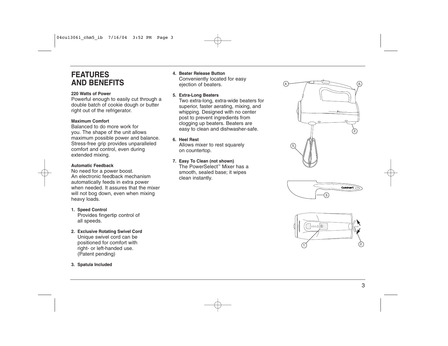## **FEATURES AND BENEFITS**

#### **220 Watts of Power**

Powerful enough to easily cut through a double batch of cookie dough or butter right out of the refrigerator.

#### **Maximum Comfort**

Balanced to do more work for you. The shape of the unit allows maximum possible power and balance. Stress-free grip provides unparalleled comfort and control, even during extended mixing.

#### **Automatic Feedback**

No need for a power boost. An electronic feedback mechanism automatically feeds in extra power when needed. It assures that the mixer will not bog down, even when mixing heavy loads.

#### **1. Speed Control**

Provides fingertip control of all speeds.

#### **2. Exclusive Rotating Swivel Cord**

Unique swivel cord can be positioned for comfort with right- or left-handed use. (Patent pending)

**3. Spatula Included**

## **4. Beater Release Button**

Conveniently located for easy ejection of beaters.

#### **5. Extra-Long Beaters**

Two extra-long, extra-wide beaters for superior, faster aerating, mixing, and whipping. Designed with no center post to prevent ingredients from clogging up beaters. Beaters are easy to clean and dishwasher-safe.

**6. Heel Rest**

Allows mixer to rest squarely on countertop.

### **7. Easy To Clean (not shown)**

The PowerSelect™ Mixer has a smooth, sealed base; it wipes clean instantly.





3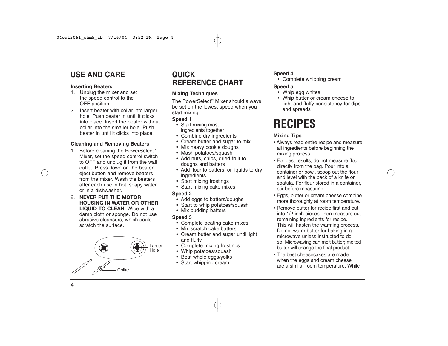## **USE AND CARE**

#### **Inserting Beaters**

- 1. Unplug the mixer and set the speed control to the OFF position.
- 2. Insert beater with collar into larger hole. Push beater in until it clicks into place. Insert the beater without collar into the smaller hole. Push beater in until it clicks into place.

#### **Cleaning and Removing Beaters**

- 1. Before cleaning the PowerSelect™ Mixer, set the speed control switch to OFF and unplug it from the wall outlet. Press down on the beater eject button and remove beaters from the mixer. Wash the beaters after each use in hot, soapy water or in a dishwasher.
- 2. **NEVER PUT THE MOTOR HOUSING IN WATER OR OTHER LIQUID TO CLEAN**. Wipe with a damp cloth or sponge. Do not use abrasive cleansers, which could scratch the surface.



## **QUICK REFERENCE CHART**

#### **Mixing Techniques**

The PowerSelect™ Mixer should always be set on the lowest speed when you start mixing.

#### **Speed 1**

- Start mixing most ingredients together
- Combine dry ingredients
- Cream butter and sugar to mix
- Mix heavy cookie doughs
- Mash potatoes/squash
- Add nuts, chips, dried fruit to doughs and batters
- Add flour to batters, or liquids to dry ingredients
- Start mixing frostings
- Start mixing cake mixes

#### **Speed 2**

- Add eggs to batters/doughs
- Start to whip potatoes/squash
- Mix pudding batters

#### **Speed 3**

- Complete beating cake mixes
- Mix scratch cake batters
- Cream butter and sugar until light and fluffy
- Complete mixing frostings
- Whip potatoes/squash
- Beat whole eggs/yolks
- Start whipping cream

#### **Speed 4**

- Complete whipping cream
- **Speed 5**
- Whip egg whites
- Whip butter or cream cheese to light and fluffy consistency for dips and spreads

# **RECIPES**

#### **Mixing Tips**

- Always read entire recipe and measure all ingredients before beginning the mixing process.
- For best results, do not measure flour directly from the bag. Pour into a container or bowl, scoop out the flour and level with the back of a knife or spatula. For flour stored in a container, stir before measuring.
- Eggs, butter or cream cheese combine more thoroughly at room temperature.
- Remove butter for recipe first and cut into 1/2-inch pieces, then measure out remaining ingredients for recipe. This will hasten the warming process. Do not warm butter for baking in a microwave unless instructed to do so. Microwaving can melt butter; melted butter will change the final product.
- The best cheesecakes are made when the eggs and cream cheese are a similar room temperature. While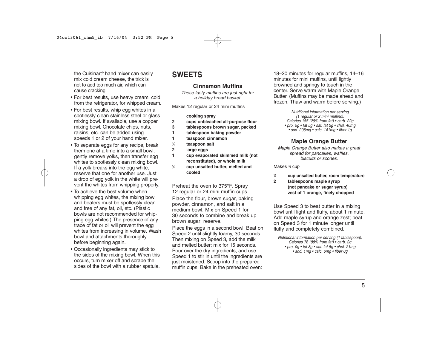the Cuisinart® hand mixer can easily mix cold cream cheese, the trick is not to add too much air, which can cause cracking.

- For best results, use heavy cream, cold from the refrigerator, for whipped cream.
- For best results, whip egg whites in a spotlessly clean stainless steel or glass mixing bowl. If available, use a copper mixing bowl. Chocolate chips, nuts, raisins, etc. can be added using speeds 1 or 2 of your hand mixer.
- To separate eggs for any recipe, break them one at a time into a small bowl, gently remove yolks, then transfer egg whites to spotlessly clean mixing bowl. If a yolk breaks into the egg white, reserve that one for another use. Just a drop of egg yolk in the white will prevent the whites from whipping properly.
- To achieve the best volume when whipping egg whites, the mixing bowl and beaters must be spotlessly clean and free of any fat, oil, etc. (Plastic bowls are not recommended for whipping egg whites.) The presence of any trace of fat or oil will prevent the egg whites from increasing in volume. Wash bowl and attachments thoroughly before beginning again.
- Occasionally ingredients may stick to the sides of the mixing bowl. When this occurs, turn mixer off and scrape the sides of the bowl with a rubber spatula.

## **SWEETS**

#### **Cinnamon Muffins**

These tasty muffins are just right for a holiday bread basket.

Makes 12 regular or 24 mini muffins

#### **cooking spray**

- **2 cups unbleached all-purpose flour**
- **3 tablespoons brown sugar, packed**
- **1 tablespoon baking powder**
- **1 teaspoon cinnamon**
- **1 ⁄4 teaspoon salt**
- **2 large eggs**
- **1 cup evaporated skimmed milk (not reconstituted), or whole milk**
- **1 ⁄4 cup unsalted butter, melted and cooled**

Preheat the oven to 375°F. Spray 12 regular or 24 mini muffin cups.

Place the flour, brown sugar, baking powder, cinnamon, and salt in a medium bowl. Mix on Speed 1 for 30 seconds to combine and break up brown sugar; reserve.

Place the eggs in a second bowl. Beat on Speed 2 until slightly foamy, 30 seconds. Then mixing on Speed 3, add the milk and melted butter; mix for 15 seconds. Pour over the dry ingredients, and use Speed 1 to stir in until the ingredients are just moistened. Scoop into the prepared muffin cups. Bake in the preheated oven:

18–20 minutes for regular muffins, 14–16 minutes for mini muffins, until lightly browned and springy to touch in the center. Serve warm with Maple Orange Butter. (Muffins may be made ahead and frozen. Thaw and warm before serving.)

> Nutritional information per serving (1 regular or 2 mini muffins): Calories 155 (29% from fat) • carb. 22g • pro. 5g • fat 5g • sat. fat 2g • chol. 46mg • sod. 208mg • calc. 141mg • fiber 1g

#### **Maple Orange Butter**

Maple Orange Butter also makes a great spread for pancakes, waffles, biscuits or scones.

Makes 3 ⁄4 cup

- **1 ⁄2 cup unsalted butter, room temperature**
- **2 tablespoons maple syrup (not pancake or sugar syrup) zest of 1 orange, finely chopped**

Use Speed 3 to beat butter in a mixing bowl until light and fluffy, about 1 minute. Add maple syrup and orange zest; beat on Speed 3 for 1 minute longer until fluffy and completely combined.

Nutritional information per serving (1 tablespoon): Calories 76 (88% from fat) • carb. 2g • pro. 0g • fat 8g • sat. fat 5g • chol. 21mg • sod. 1mg • calc. 6mg • fiber 0g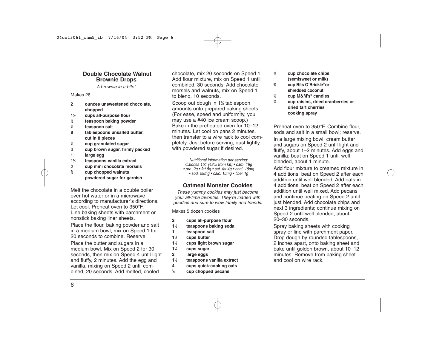#### **Double Chocolate Walnut Brownie Drops**

A brownie in a bite!

#### Makes 26

- **2 ounces unsweetened chocolate, chopped**
- **11 ⁄2 cups all-purpose flour**
- **1 ⁄2 teaspoon baking powder**
- **1 ⁄2 teaspoon salt**
- **8 tablespoons unsalted butter, cut in 8 pieces**
- **1 ⁄2 cup granulated sugar**
- **1 ⁄2 cup brown sugar, firmly packed 1 large egg**
- **11 ⁄2 teaspoons vanilla extract**
- **2 ⁄3 cup mini chocolate morsels**
- **2 ⁄3 cup chopped walnuts**
	- **powdered sugar for garnish**

Melt the chocolate in a double boiler over hot water or in a microwave according to manufacturer's directions. Let cool. Preheat oven to 350°F. Line baking sheets with parchment or nonstick baking liner sheets.

Place the flour, baking powder and salt in a medium bowl; mix on Speed 1 for 20 seconds to combine. Reserve.

Place the butter and sugars in a medium bowl. Mix on Speed 2 for 30 seconds, then mix on Speed 4 until light and fluffy, 2 minutes. Add the egg and vanilla, mixing on Speed 2 until combined, 20 seconds. Add melted, cooled

chocolate, mix 20 seconds on Speed 1. Add flour mixture, mix on Speed 1 until combined, 30 seconds. Add chocolate morsels and walnuts, mix on Speed 1 to blend, 10 seconds.

Scoop out dough in 11 ⁄2 tablespoon amounts onto prepared baking sheets. (For ease, speed and uniformity, you may use a #40 ice cream scoop.) Bake in the preheated oven for 10–12 minutes. Let cool on pans 2 minutes, then transfer to a wire rack to cool completely. Just before serving, dust lightly with powdered sugar if desired.

> Nutritional information per serving: Calories 151 (48% from fat) • carb. 18g • pro. 2g • fat 8g • sat. fat 4g • chol. 18mg • sod. 59mg • calc. 15mg • fiber 1g

#### **Oatmeal Monster Cookies**

These yummy cookies may just become your all-time favorites. They're loaded with goodies and sure to wow family and friends.

Makes 5 dozen cookies

- **2 cups all-purpose flour**
- **11 ⁄2 teaspoons baking soda**
- **1 teaspoon salt**
- **11 ⁄3 cups butter**
- **11 ⁄3 cups light brown sugar**
- **11 ⁄3 cups sugar**
- **2 large eggs**
- **11 ⁄2 teaspoons vanilla extract**
- **4 cups quick-cooking oats**
- **2 ⁄3 cup chopped pecans**
- **2 ⁄3 cup chocolate chips (semisweet or milk)**
- **2 ⁄3 cup Bits O'Brickle® or shredded coconut**
- **2 ⁄3 cup M&M's® candies**
- **2**
- **⁄3 cup raisins, dried cranberries or dried tart cherries cooking spray**

Preheat oven to 350°F. Combine flour, soda and salt in a small bowl; reserve.

In a large mixing bowl, cream butter and sugars on Speed 2 until light and fluffy, about 1–2 minutes. Add eggs and vanilla; beat on Speed 1 until well blended, about 1 minute.

Add flour mixture to creamed mixture in 4 additions; beat on Speed 2 after each addition until well blended. Add oats in 4 additions; beat on Speed 2 after each addition until well mixed. Add pecans and continue beating on Speed 2 until just blended. Add chocolate chips and next 3 ingredients; continue mixing on Speed 2 until well blended, about 20–30 seconds.

Spray baking sheets with cooking spray or line with parchment paper. Drop dough by rounded tablespoons, 2 inches apart, onto baking sheet and bake until golden brown, about 10–12 minutes. Remove from baking sheet and cool on wire rack.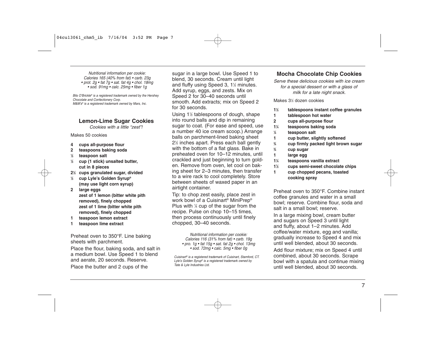Nutritional information per cookie: Calories 165 (40% from fat) • carb. 23g • prot. 2g • fat  $7g$  • sat. fat  $4g$  • chol. 18mg • sod. 91mg • calc. 25mg • fiber 1g

Bits O'Brickle® is a registered trademark owned by the Hershey Chocolate and Confectionery Corp. M&M's® is a registered trademark owned by Mars, Inc.

#### **Lemon-Lime Sugar Cookies**

Cookies with a little "zest"!

Makes 50 cookies

- **4 cups all-purpose flour**
- **2 teaspoons baking soda**
- **1 ⁄2 teaspoon salt**
- **1 ⁄2 cup (1 stick) unsalted butter, cut in 8 pieces**
- **21 ⁄2 cups granulated sugar, divided ⁄2 cup Lyle's Golden Syrup® (may use light corn syrup)**
- **2 large eggs zest of 1 lemon (bitter white pith removed), finely chopped zest of 1 lime (bitter white pith removed), finely chopped**
- **1 teaspoon lemon extract**
- **1 teaspoon lime extract**

Preheat oven to 350°F. Line baking sheets with parchment.

Place the flour, baking soda, and salt in a medium bowl. Use Speed 1 to blend and aerate, 20 seconds. Reserve.

Place the butter and 2 cups of the

sugar in a large bowl. Use Speed 1 to blend, 30 seconds. Cream until light and fluffy using Speed 3, 1½ minutes. Add syrup, eggs, and zests. Mix on Speed 2 for 30–40 seconds until smooth. Add extracts; mix on Speed 2 for 30 seconds.

Using 11 ⁄2 tablespoons of dough, shape into round balls and dip in remaining sugar to coat. (For ease and speed, use a number 40 ice cream scoop.) Arrange balls on parchment-lined baking sheet 21 ⁄2 inches apart. Press each ball gently with the bottom of a flat glass. Bake in preheated oven for 10–12 minutes, until crackled and just beginning to turn golden. Remove from oven, let cool on baking sheet for 2–3 minutes, then transfer to a wire rack to cool completely. Store between sheets of waxed paper in an airtight container.

Tip: to chop zest easily, place zest in work bowl of a Cuisinart® MiniPrep® Plus with 1 ⁄4 cup of the sugar from the recipe. Pulse on chop 10–15 times, then process continuously until finely chopped, 30–40 seconds.

> Nutritional information per cookie: Calories 116 (31% from fat) • carb. 19g • pro. 1g • fat 15g • sat. fat 2g • chol. 13mg • sod. 72mg • calc. 5mg • fiber 0g

Cuisinart® is a registered trademark of Cuisinart, Stamford, CT. Lyle's Golden Syrup® is a registered trademark owned by Tate & Lyle Industries Ltd.

#### **Mocha Chocolate Chip Cookies**

Serve these delicious cookies with ice cream for a special dessert or with a glass of milk for a late night snack.

#### Makes 31 ⁄2 dozen cookies

- **11 ⁄2 tablespoons instant coffee granules**
- **1 tablespoon hot water**
- **2 cups all-purpose flour**
- **11 ⁄4 teaspoons baking soda**
- **1 ⁄4 teaspoon salt**
- **1 cup butter, slightly softened**
- **3 ⁄4 cup firmly packed light brown sugar**
	- **⁄4 cup sugar**

**3**

- **1 large egg**
- **11 ⁄4 teaspoons vanilla extract**
- **11 ⁄2 cups semi-sweet chocolate chips**
- **1 cup chopped pecans, toasted cooking spray**

Preheat oven to 350°F. Combine instant coffee granules and water in a small bowl; reserve. Combine flour, soda and salt in a small bowl; reserve.

In a large mixing bowl, cream butter and sugars on Speed 3 until light and fluffy, about 1–2 minutes. Add coffee/water mixture, egg and vanilla; gradually increase to Speed 4 and mix until well blended, about 30 seconds. Add flour mixture; mix on Speed 4 until combined, about 30 seconds. Scrape bowl with a spatula and continue mixing until well blended, about 30 seconds.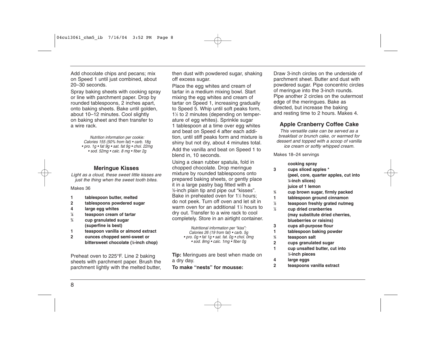Add chocolate chips and pecans; mix on Speed 1 until just combined, about 20–30 seconds.

Spray baking sheets with cooking spray or line with parchment paper. Drop by rounded tablespoons, 2 inches apart, onto baking sheets. Bake until golden, about 10–12 minutes. Cool slightly on baking sheet and then transfer to a wire rack.

> Nutrition information per cookie: Calories 155 (50% from fat) • carb. 18g • pro. 1g • fat 9g • sat. fat 9g • chol. 22mg • sod. 52mg • calc. 8 mg • fiber 2g

#### **Meringue Kisses**

Light as a cloud, these sweet little kisses are just the thing when the sweet tooth bites.

#### Makes 36

- **1 tablespoon butter, melted**
- **2 tablespoons powdered sugar**
- **4 large egg whites**
- **1 ⁄8 teaspoon cream of tartar**
- **3 ⁄4 cup granulated sugar (superfine is best)**
- **1 teaspoon vanilla or almond extract**
- **2 ounces chopped semi-sweet or bittersweet chocolate (1 ⁄8-inch chop)**

Preheat oven to 225°F. Line 2 baking sheets with parchment paper. Brush the parchment lightly with the melted butter, then dust with powdered sugar, shaking off excess sugar.

Place the egg whites and cream of tartar in a medium mixing bowl. Start mixing the egg whites and cream of tartar on Speed 1, increasing gradually to Speed 5. Whip until soft peaks form, 11 ⁄2 to 2 minutes (depending on temperature of egg whites). Sprinkle sugar 1 tablespoon at a time over egg whites and beat on Speed 4 after each addition, until stiff peaks form and mixture is shiny but not dry, about 4 minutes total. Add the vanilla and beat on Speed 1 to blend in, 10 seconds.

Using a clean rubber spatula, fold in chopped chocolate. Drop meringue mixture by rounded tablespoons onto prepared baking sheets, or gently place it in a large pastry bag fitted with a 3 ⁄8-inch plain tip and pipe out "kisses". Bake in preheated oven for 1½ hours; do not peek. Turn off oven and let sit in warm oven for an additional 11 ⁄2 hours to dry out. Transfer to a wire rack to cool completely. Store in an airtight container.

> Nutritional information per "kiss": Calories 26 (19 from fat) • carb. 5g • pro. 0g • fat 1g • sat. fat. 0g • chol. 0mg • sod. 8mg • calc. 1mg • fiber 0g

**Tip:** Meringues are best when made on a dry day. **To make "nests" for mousse:**

Draw 3-inch circles on the underside of parchment sheet. Butter and dust with powdered sugar. Pipe concentric circles of meringue into the 3-inch rounds. Pipe another 2 circles on the outermost edge of the meringues. Bake as directed, but increase the baking and resting time to 2 hours. Makes 4.

#### **Apple Cranberry Coffee Cake**

This versatile cake can be served as a breakfast or brunch cake, or warmed for dessert and topped with a scoop of vanilla ice cream or softly whipped cream.

Makes 18–24 servings

#### **cooking spray**

- **3 cups sliced apples \* (peel, core, quarter apples, cut into 1 ⁄8-inch slices) juice of 1 lemon**
- 
- **3 ⁄4 cup brown sugar, firmly packed**
- **1 tablespoon ground cinnamon**
- **1 ⁄2 teaspoon freshly grated nutmeg 1**
- **⁄2 cup dried cranberries (may substitute dried cherries, blueberries or raisins)**
- **3 cups all-purpose flour**
- **1 tablespoon baking powder**
- **3 ⁄4 teaspoon salt**
- **2 cups granulated sugar**
- **1 cup unsalted butter, cut into 1 ⁄2-inch pieces**
- **4 large eggs**
- **2 teaspoons vanilla extract**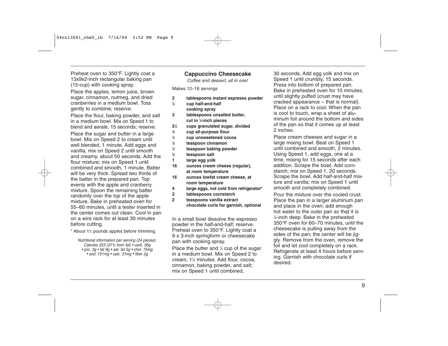Preheat oven to 350°F. Lightly coat a 13x9x2-inch rectangular baking pan (15-cup) with cooking spray.

Place the apples, lemon juice, brown sugar, cinnamon, nutmeg, and dried cranberries in a medium bowl. Toss gently to combine; reserve.

Place the flour, baking powder, and salt in a medium bowl. Mix on Speed 1 to blend and aerate, 15 seconds; reserve. Place the sugar and butter in a large bowl. Mix on Speed 2 to cream until well blended, 1 minute. Add eggs and vanilla; mix on Speed 2 until smooth and creamy, about 50 seconds. Add the flour mixture; mix on Speed 1 until combined and smooth, 1 minute. Batter will be very thick. Spread two thirds of the batter in the prepared pan. Top evenly with the apple and cranberry mixture. Spoon the remaining batter randomly over the top of the apple mixture. Bake in preheated oven for 55–60 minutes, until a tester inserted in the center comes out clean. Cool in pan on a wire rack for at least 30 minutes before cutting.

\* About 1½ pounds apples before trimming.

Nutritional information per serving (24 pieces): Calories 253 (31% from fat) • carb. 56g • pro. 3g • fat 9g • sat. fat 5g • chol. 75mg • sod. 151mg • calc. 31mg • fiber 2g

#### **Cappuccino Cheesecake**

Coffee and dessert, all in one!

Makes 12–16 servings

- **2 tablespoons instant espresso powder**
- **1 ⁄2 cup half-and-half cooking spray**
- **3 tablespoons unsalted butter, cut in 1 ⁄2-inch pieces**
- **21 ⁄2 cups granulated sugar, divided**
- **3 ⁄4 cup all-purpose flour**
- **1 ⁄4 cup unsweetened cocoa**
- **1 ⁄2 teaspoon cinnamon**
- **1 ⁄4 teaspoon baking powder**
- **1 ⁄8 teaspoon salt**
- **1 large egg yolk**
- **16 ounces cream cheese (regular), at room temperature**
- **16 ounces lowfat cream cheese, at room temperature**
- **4 large eggs, not cold from refrigerator\***
- **2 tablespoons cornstarch**
- **2 teaspoons vanilla extract**
	- **chocolate curls for garnish, optional**

In a small bowl dissolve the espresso powder in the half-and-half; reserve. Preheat oven to 350°F. Lightly coat a 9 x 3-inch springform or cheesecake pan with cooking spray.

Place the butter and 1 ⁄4 cup of the sugar in a medium bowl. Mix on Speed 2 to cream, 11 ⁄2 minutes. Add flour, cocoa, cinnamon, baking powder, and salt; mix on Speed 1 until combined,

30 seconds. Add egg yolk and mix on Speed 1 until crumbly, 15 seconds. Press into bottom of prepared pan. Bake in preheated oven for 10 minutes, until slightly puffed (crust may have cracked appearance – that is normal). Place on a rack to cool. When the pan is cool to touch, wrap a sheet of aluminum foil around the bottom and sides of the pan so that it comes up at least 2 inches.

Place cream cheeses and sugar in a large mixing bowl. Beat on Speed 1 until combined and smooth, 2 minutes. Using Speed 1, add eggs, one at a time, mixing for 15 seconds after each addition. Scrape the bowl. Add cornstarch; mix on Speed 1, 20 seconds. Scrape the bowl. Add half-and-half mixture and vanilla; mix on Speed 1 until smooth and completely combined.

Pour the mixture over the cooled crust. Place the pan in a larger aluminum pan and place in the oven; add enough hot water to the outer pan so that it is 1 ⁄2-inch deep. Bake in the preheated 350°F oven for 60–70 minutes, until the cheesecake is pulling away from the sides of the pan; the center will be jiggly. Remove from the oven, remove the foil and let cool completely on a rack. Refrigerate at least 4 hours before serving. Garnish with chocolate curls if desired.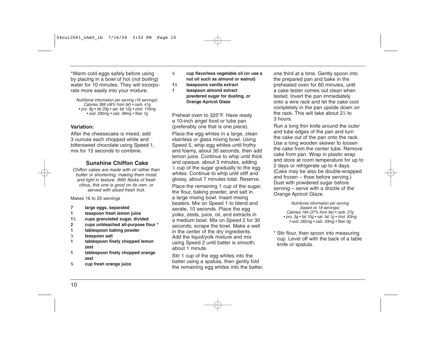\*Warm cold eggs safely before using by placing in a bowl of hot (not boiling) water for 10 minutes. They will incorporate more easily into your mixture.

Nutritional information per serving (16 servings): Calories 368 (48% from fat) • carb. 41g • pro. 8g • fat 20g • sat. fat 12g • chol. 116mg • sod. 290mg • calc. 89mg • fiber 1g

#### **Variation:**

After the cheesecake is mixed, add 3 ounces each chopped white and bittersweet chocolate using Speed 1, mix for 15 seconds to combine.

#### **Sunshine Chiffon Cake**

Chiffon cakes are made with oil rather than butter or shortening, making them moist and light in texture. With flecks of fresh citrus, this one is good on its own, or served with sliced fresh fruit.

#### Makes 16 to 20 servings

- **7 large eggs, separated**
- **1 teaspoon fresh lemon juice**
- **11 ⁄2 cups granulated sugar, divided**
- **2 cups unbleached all-purpose flour \***
- **1 tablespoon baking powder**
- **1 ⁄4 teaspoon salt**
- **1 tablespoon finely chopped lemon zest**
- **1 tablespoon finely chopped orange zest**
- **3 ⁄4 cup fresh orange juice**
- **1 ⁄2 cup flavorless vegetable oil (or use a nut oil such as almond or walnut)**
- **11 ⁄2 teaspoons vanilla extract**
- **1 teaspoon almond extract powdered sugar for dusting, or Orange Apricot Glaze**

Preheat oven to 325°F. Have ready a 10-inch angel food or tube pan (preferably one that is one piece).

Place the egg whites in a large, clean stainless or glass mixing bowl. Using Speed 5, whip egg whites until frothy and foamy, about 30 seconds, then add lemon juice. Continue to whip until thick and opaque, about 3 minutes, adding 1 ⁄2 cup of the sugar gradually to the egg whites. Continue to whip until stiff and glossy, about 7 minutes total. Reserve.

Place the remaining 1 cup of the sugar, the flour, baking powder, and salt in a large mixing bowl. Insert mixing beaters. Mix on Speed 1 to blend and aerate, 10 seconds. Place the egg yolks, zests, juice, oil, and extracts in a medium bowl. Mix on Speed 2 for 30 seconds; scrape the bowl. Make a well in the center of the dry ingredients. Add the liquid/yolk mixture and mix using Speed 2 until batter is smooth, about 1 minute.

Stir 1 cup of the egg whites into the batter using a spatula, then gently fold the remaining egg whites into the batter, one third at a time. Gently spoon into the prepared pan and bake in the preheated oven for 60 minutes, until a cake tester comes out clean when tested. Invert the pan immediately onto a wire rack and let the cake cool completely in the pan upside down on the rack. This will take about 21 ⁄2 to 3 hours.

Run a long thin knife around the outer and tube edges of the pan and turn the cake out of the pan onto the rack. Use a long wooden skewer to loosen the cake from the center tube. Remove cake from pan. Wrap in plastic wrap and store at room temperature for up to 2 days or refrigerate up to 4 days. (Cake may be also be double-wrapped and frozen – thaw before serving.) Dust with powdered sugar before serving – serve with a drizzle of the Orange Apricot Glaze.

> Nutritional information per serving (based on 18 servings): Calories 194 (37% from fat) • carb. 27g • pro. 3g • fat 10g • sat. fat 1g • chol. 83mg • sod. 282mg • calc. 93mg • fiber 0g

\* Stir flour, then spoon into measuring cup. Level off with the back of a table knife or spatula.

10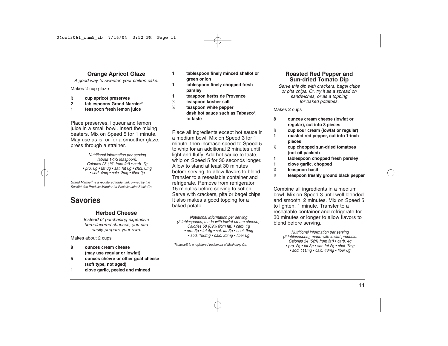#### **Orange Apricot Glaze**

A good way to sweeten your chiffon cake.

Makes 1⁄2 cup glaze

- **1⁄2 cup apricot preserves**
- **2 tablespoons Grand Marnier®**
- **1 teaspoon fresh lemon juice**

Place preserves, liqueur and lemon juice in a small bowl. Insert the mixing beaters. Mix on Speed 5 for 1 minute. May use as is, or for a smoother glaze, press through a strainer.

> Nutritional information per serving (about 1-1/3 teaspoon): Calories 28 (1% from fat) • carb. 7g • pro. 0g • fat 0g • sat. fat 0g • chol. 0mg • sod. 4mg • calc. 2mg • fiber 0g

Grand Marnier® is a registered trademark owned by the Société des Produits Marnier-La Postolle Joint Stock Co.

## **Savories**

#### **Herbed Cheese**

Instead of purchasing expensive herb-flavored cheeses, you can easily prepare your own.

Makes about 2 cups

- **8 ounces cream cheese (may use regular or lowfat)**
- **5 ounces chèvre or other goat cheese (soft type, not aged)**
- **1 clove garlic, peeled and minced**
- **1 tablespoon finely minced shallot or green onion**
- **1 tablespoon finely chopped fresh parsley**
- **1 teaspoon herbs de Provence**
- **1⁄2 teaspoon kosher salt**
- **1⁄4 teaspoon white pepper dash hot sauce such as Tabasco®, to taste**

Place all ingredients except hot sauce in a medium bowl. Mix on Speed 3 for 1 minute, then increase speed to Speed 5 to whip for an additional 2 minutes until light and fluffy. Add hot sauce to taste, whip on Speed 5 for 30 seconds longer. Allow to stand at least 30 minutes before serving, to allow flavors to blend. Transfer to a resealable container and refrigerate. Remove from refrigerator 15 minutes before serving to soften. Serve with crackers, pita or bagel chips. It also makes a good topping for a baked potato.

Nutritional information per serving (2 tablespoons, made with lowfat cream cheese): Calories 58 (69% from fat) • carb. 1g • pro. 3g • fat 4g • sat. fat 3g • chol. 9mg • sod. 156mg • calc. 35mg • fiber 0g

Tabasco® is a registered trademark of McIlhenny Co.

#### **Roasted Red Pepper and Sun-dried Tomato Dip**

Serve this dip with crackers, bagel chips or pita chips. Or, try it as a spread on sandwiches, or as a topping for baked potatoes.

Makes 2 cups

- **8 ounces cream cheese (lowfat or regular), cut into 8 pieces**
- **1⁄2 cup sour cream (lowfat or regular)**
- **1 roasted red pepper, cut into 1-inch pieces**
- **1⁄3 cup chopped sun-dried tomatoes (not oil packed)**
- **1 tablespoon chopped fresh parsley**
- **1 clove garlic, chopped**
- **1⁄2 teaspoon basil**
- **1⁄8 teaspoon freshly ground black pepper**

Combine all ingredients in a medium bowl. Mix on Speed 3 until well blended and smooth, 2 minutes. Mix on Speed 5 to lighten, 1 minute. Transfer to a resealable container and refrigerate for 30 minutes or longer to allow flavors to blend before serving.

> Nutritional information per serving (2 tablespoons), made with lowfat products: Calories 54 (52% from fat) • carb. 4g • pro. 2g • fat 3g • sat. fat 2g • chol. 7mg • sod. 111mg • calc. 43mg • fiber 0g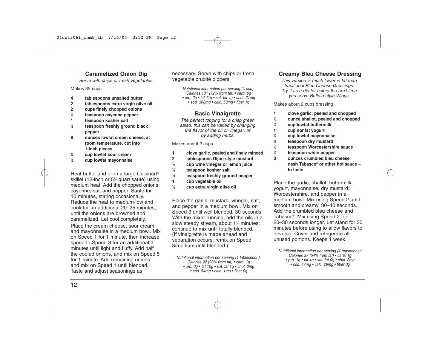#### **Caramelized Onion Dip**

Serve with chips or fresh vegetables.

Makes 31 ⁄2 cups

- **4 tablespoons unsalted butter**
- **2 tablespoons extra virgin olive oil**
- **2 cups finely chopped onions**
- **1 ⁄4 teaspoon cayenne pepper**
- **1 teaspoon kosher salt**
- **1 ⁄2 teaspoon freshly ground black pepper**
- **8 ounces lowfat cream cheese, at room temperature, cut into 1-inch pieces**
- **3 ⁄4 cup lowfat sour cream**
- **1 ⁄2 cup lowfat mayonnaise**

Heat butter and oil in a large Cuisinart® skillet (12-inch or 51 ⁄2 quart sauté) using medium heat. Add the chopped onions, cayenne, salt and pepper. Sauté for 10 minutes, stirring occasionally. Reduce the heat to medium-low and cook for an additional 20–25 minutes, until the onions are browned and caramelized. Let cool completely.

Place the cream cheese, sour cream and mayonnaise in a medium bowl. Mix on Speed 1 for 1 minute, then increase speed to Speed 3 for an additional 2 minutes until light and fluffy. Add half the cooled onions, and mix on Speed 5 for 1 minute. Add remaining onions and mix on Speed 1 until blended. Taste and adjust seasonings as

necessary. Serve with chips or fresh vegetable crudité dippers.

> Nutritional information per serving (1 ⁄4 cup): Calories 131 (72% from fat) • carb. 6g • pro. 3g • fat 11g • sat. fat 4g • chol. 21mg • sod. 308mg • calc. 53mg • fiber 1g

#### **Basic Vinaigrette**

The perfect topping for a crisp green salad, this can be varied by changing the flavor of the oil or vinegar, or by adding herbs.

#### Makes about 2 cups

- **1 clove garlic, peeled and finely minced**
- **2 tablespoons Dijon-style mustard**
- **1 ⁄2 cup wine vinegar or lemon juice**
- **1 ⁄2 teaspoon kosher salt**
- **1 ⁄4 teaspoon freshly ground pepper**
- **1 cup vegetable oil**
- **1 ⁄2 cup extra virgin olive oil**

Place the garlic, mustard, vinegar, salt, and pepper in a medium bowl. Mix on Speed 3 until well blended, 30 seconds. With the mixer running, add the oils in a slow steady stream, about 1½ minutes; continue to mix until totally blended. (If vinaigrette is made ahead and separation occurs, remix on Speed 3/medium until blended.)

Nutritional information per serving (1 tablespoon): Calories 92 (98% from fat) • carb. 1g • pro. 0g • fat 10g • sat. fat 1g • chol. 0mg • sod. 54mg • calc. 1mg • fiber 0g

#### **Creamy Bleu Cheese Dressing**

This version is much lower in fat than traditional Bleu Cheese Dressings. Try it as a dip for celery the next time you serve Buffalo-style Wings.

Makes about 2 cups dressing

- **1 clove garlic, peeled and chopped**
- **1 ⁄2 ounce shallot, peeled and chopped**
- **1 ⁄2 cup lowfat buttermilk**
- **1 cup nonfat yogurt**
- **1 ⁄3 cup lowfat mayonnaise**
- **3 ⁄4 teaspoon dry mustard**
- **1 ⁄2 teaspoon Worcestershire sauce**
- **1 ⁄4 teaspoon white pepper**
- **3 ounces crumbled bleu cheese dash Tabasco® or other hot sauce – to taste**

Place the garlic, shallot, buttermilk, yogurt, mayonnaise, dry mustard, Worcestershire, and pepper in a medium bowl. Mix using Speed 2 until smooth and creamy, 30–40 seconds. Add the crumbled bleu cheese and Tabasco®. Mix using Speed 2 for 20–30 seconds longer. Let stand for 30 minutes before using to allow flavors to develop. Cover and refrigerate all unused portions. Keeps 1 week.

Nutritional information per serving (4 teaspoons): Calories 27 (54% from fat) • carb. 1g • pro. 1g • fat 1g • sat. fat 0g • chol. 2mg • sod. 47mg • calc. 29mg • fiber 0g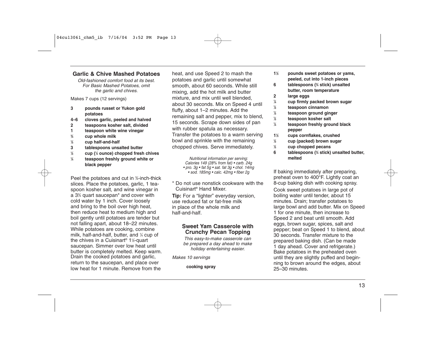#### **Garlic & Chive Mashed Potatoes**

Old-fashioned comfort food at its best. For Basic Mashed Potatoes, omit the garlic and chives.

Makes 7 cups (12 servings)

- **3 pounds russet or Yukon gold potatoes**
- **4–6 cloves garlic, peeled and halved**
- **2 teaspoons kosher salt, divided**
- **1 teaspoon white wine vinegar**
- **3⁄4 cup whole milk**
- **1⁄2 cup half-and-half**
- **3 tablespoons unsalted butter**
- **1⁄2 cup (1⁄4 ounce) chopped fresh chives**
- **1⁄4 teaspoon freshly ground white or black pepper**

Peel the potatoes and cut in 3⁄4-inch-thick slices. Place the potatoes, garlic, 1 teaspoon kosher salt, and wine vinegar in a 33⁄4 quart saucepan\* and cover with cold water by 1 inch. Cover loosely and bring to the boil over high heat, then reduce heat to medium high and boil gently until potatoes are tender but not falling apart, about 18–22 minutes. While potatoes are cooking, combine milk, half-and-half, butter, and  $\frac{1}{4}$  cup of the chives in a Cuisinart<sup>®</sup>  $1\frac{1}{2}$ -quart saucepan. Simmer over low heat until butter is completely melted. Keep warm. Drain the cooked potatoes and garlic, return to the saucepan, and place over low heat for 1 minute. Remove from the

heat, and use Speed 2 to mash the potatoes and garlic until somewhat smooth, about 60 seconds. While still mixing, add the hot milk and butter mixture, and mix until well blended, about 30 seconds. Mix on Speed 4 until fluffy, about 1–2 minutes. Add the remaining salt and pepper, mix to blend, 15 seconds. Scrape down sides of pan with rubber spatula as necessary. Transfer the potatoes to a warm serving bowl and sprinkle with the remaining chopped chives. Serve immediately.

> Nutritional information per serving: Calories 149 (28% from fat) • carb. 24g • pro. 3g • fat 5g • sat. fat 3g • chol. 14mg • sod. 185mg • calc. 42mg • fiber 2g

\* Do not use nonstick cookware with the Cuisinart® Hand Mixer.

**Tip:** For a "lighter" everyday version, use reduced fat or fat-free milk in place of the whole milk and half-and-half.

#### **Sweet Yam Casserole with Crunchy Pecan Topping**

This easy-to-make casserole can be prepared a day ahead to make holiday entertaining easier.

Makes 10 servings

**cooking spray**

- **11⁄2 pounds sweet potatoes or yams, peeled, cut into 1-inch pieces**
- **6 tablespoons (3⁄4 stick) unsalted butter, room temperature**
- **2 large eggs**
- **1⁄4 cup firmly packed brown sugar**
- **1⁄2 teaspoon cinnamon**
- **1⁄2 teaspoon ground ginger**
- **1⁄2 teaspoon kosher salt**
- **1⁄4 teaspoon freshly ground black pepper**
- **11⁄2 cups cornflakes, crushed**
- **1⁄2 cup (packed) brown sugar**
- **1⁄2 cup chopped pecans**
- **6 tablespoons (3⁄4 stick) unsalted butter, melted**

If baking immediately after preparing, preheat oven to 400°F. Lightly coat an 8-cup baking dish with cooking spray. Cook sweet potatoes in large pot of boiling water until tender, about 15 minutes. Drain; transfer potatoes to large bowl and add butter. Mix on Speed 1 for one minute, then increase to Speed 2 and beat until smooth. Add eggs, brown sugar, spices, salt and pepper; beat on Speed 1 to blend, about 30 seconds. Transfer mixture to the prepared baking dish. (Can be made 1 day ahead. Cover and refrigerate.) Bake potatoes in the preheated oven until they are slightly puffed and beginning to brown around the edges, about 25–30 minutes.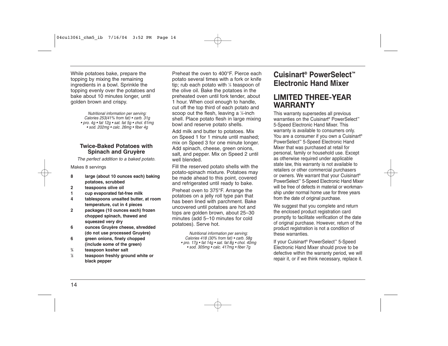While potatoes bake, prepare the topping by mixing the remaining ingredients in a bowl. Sprinkle the topping evenly over the potatoes and bake about 10 minutes longer, until golden brown and crispy.

> Nutritional information per serving: Calories 253(41% from fat) • carb. 31g • pro. 4g • fat  $12g$  • sat. fat  $5g$  • chol. 61mg • sod. 202mg • calc. 26mg • fiber 4g

#### **Twice-Baked Potatoes with Spinach and Gruyère**

The perfect addition to a baked potato.

#### Makes 8 servings

- **8 large (about 10 ounces each) baking potatoes, scrubbed**
- **2 teaspoons olive oil**
- **1 cup evaporated fat-free milk**
- **4 tablespoons unsalted butter, at room temperature, cut in 4 pieces**
- **2 packages (10 ounces each) frozen chopped spinach, thawed and squeezed very dry**
- **6 ounces Gruyère cheese, shredded (do not use processed Gruyère)**
- **6 green onions, finely chopped (include some of the green)**
- **3 ⁄4 teaspoon kosher salt**
- **1 ⁄2 teaspoon freshly ground white or black pepper**

Preheat the oven to 400°F. Pierce each potato several times with a fork or knife tip; rub each potato with 1 ⁄4 teaspoon of the olive oil. Bake the potatoes in the preheated oven until fork tender, about 1 hour. When cool enough to handle, cut off the top third of each potato and scoop out the flesh, leaving a 1 ⁄4-inch shell. Place potato flesh in large mixing bowl and reserve potato shells.

Add milk and butter to potatoes. Mix on Speed 1 for 1 minute until mashed; mix on Speed 3 for one minute longer. Add spinach, cheese, green onions, salt, and pepper. Mix on Speed 2 until well blended.

Fill the reserved potato shells with the potato-spinach mixture. Potatoes may be made ahead to this point, covered and refrigerated until ready to bake.

Preheat oven to 375°F. Arrange the potatoes on a jelly roll type pan that has been lined with parchment. Bake uncovered until potatoes are hot and tops are golden brown, about 25–30 minutes (add 5–10 minutes for cold potatoes). Serve hot.

> Nutritional information per serving: Calories 418 (30% from fat) • carb. 58g • pro. 17g • fat  $14g$  • sat. fat  $8g$  • chol.  $40mg$ • sod. 305mg • calc. 417mg • fiber 7g

## **Cuisinart ® PowerSelect ™ Electronic Hand Mixer**

## **LIMITED THREE-YEAR WARRANTY**

This warranty supersedes all previous warranties on the Cuisinart<sup>®</sup> PowerSelect<sup>™</sup> 5-Speed Electronic Hand Mixer. This warranty is available to consumers only. You are a consumer if you own a Cuisinart<sup>®</sup> PowerSelect™ 5-Speed Electronic Hand Mixer that was purchased at retail for personal, family or household use. Except as otherwise required under applicable state law, this warranty is not available to retailers or other commercial purchasers or owners. We warrant that your Cuisinart® PowerSelect™ 5-Speed Electronic Hand Mixer will be free of defects in material or workmanship under normal home use for three years from the date of original purchase.

We suggest that you complete and return the enclosed product registration card promptly to facilitate verification of the date of original purchase. However, return of the product registration is not a condition of these warranties.

If your Cuisinart® PowerSelect™ 5-Speed Electronic Hand Mixer should prove to be defective within the warranty period, we will repair it, or if we think necessary, replace it.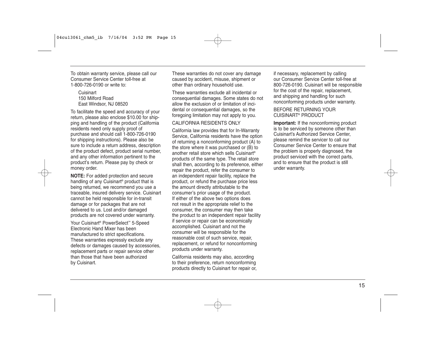To obtain warranty service, please call our Consumer Service Center toll-free at 1-800-726-0190 or write to:

**Cuisinart** 150 Milford Road East Windsor, NJ 08520

To facilitate the speed and accuracy of your return, please also enclose \$10.00 for shipping and handling of the product (California residents need only supply proof of purchase and should call 1-800-726-0190 for shipping instructions). Please also be sure to include a return address, description of the product defect, product serial number, and any other information pertinent to the product's return. Please pay by check or money order.

**NOTE:** For added protection and secure handling of any Cuisinart® product that is being returned, we recommend you use a traceable, insured delivery service. Cuisinart cannot be held responsible for in-transit damage or for packages that are not delivered to us. Lost and/or damaged products are not covered under warranty.

Your Cuisinart® PowerSelect™ 5-Speed Electronic Hand Mixer has been manufactured to strict specifications. These warranties expressly exclude any defects or damages caused by accessories, replacement parts or repair service other than those that have been authorized by Cuisinart.

These warranties do not cover any damage caused by accident, misuse, shipment or other than ordinary household use.

These warranties exclude all incidental or consequential damages. Some states do not allow the exclusion of or limitation of incidental or consequential damages, so the foregoing limitation may not apply to you.

#### CALIFORNIA RESIDENTS ONLY

California law provides that for In-Warranty Service, California residents have the option of returning a nonconforming product (A) to the store where it was purchased or (B) to another retail store which sells Cuisinart® products of the same type. The retail store shall then, according to its preference, either repair the product, refer the consumer to an independent repair facility, replace the product, or refund the purchase price less the amount directly attributable to the consumer's prior usage of the product. If either of the above two options does not result in the appropriate relief to the consumer, the consumer may then take the product to an independent repair facility if service or repair can be economically accomplished. Cuisinart and not the consumer will be responsible for the reasonable cost of such service, repair, replacement, or refund for nonconforming products under warranty.

California residents may also, according to their preference, return nonconforming products directly to Cuisinart for repair or, if necessary, replacement by calling our Consumer Service Center toll-free at 800-726-0190. Cuisinart will be responsible for the cost of the repair, replacement, and shipping and handling for such nonconforming products under warranty.

BEFORE RETURNING YOUR CUISINART® PRODUCT

**Important:** If the nonconforming product is to be serviced by someone other than Cuisinart's Authorized Service Center, please remind the servicer to call our Consumer Service Center to ensure that the problem is properly diagnosed, the product serviced with the correct parts, and to ensure that the product is still under warranty.